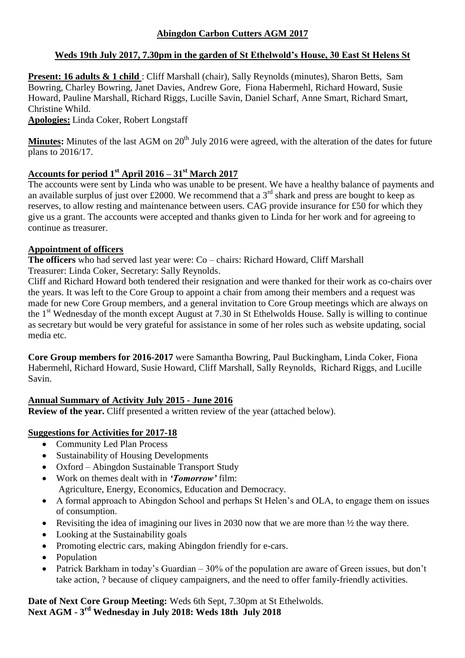### **Weds 19th July 2017, 7.30pm in the garden of St Ethelwold's House, 30 East St Helens St**

**Present: 16 adults & 1 child** : Cliff Marshall (chair), Sally Reynolds (minutes), Sharon Betts, Sam Bowring, Charley Bowring, Janet Davies, Andrew Gore, Fiona Habermehl, Richard Howard, Susie Howard, Pauline Marshall, Richard Riggs, Lucille Savin, Daniel Scharf, Anne Smart, Richard Smart, Christine Whild.

**Apologies:** Linda Coker, Robert Longstaff

**Minutes:** Minutes of the last AGM on 20<sup>th</sup> July 2016 were agreed, with the alteration of the dates for future plans to 2016/17.

## **Accounts for period 1st April 2016 – 31st March 2017**

The accounts were sent by Linda who was unable to be present. We have a healthy balance of payments and an available surplus of just over £2000. We recommend that a  $3<sup>rd</sup>$  shark and press are bought to keep as reserves, to allow resting and maintenance between users. CAG provide insurance for £50 for which they give us a grant. The accounts were accepted and thanks given to Linda for her work and for agreeing to continue as treasurer.

# **Appointment of officers**

**The officers** who had served last year were: Co – chairs: Richard Howard, Cliff Marshall Treasurer: Linda Coker, Secretary: Sally Reynolds.

Cliff and Richard Howard both tendered their resignation and were thanked for their work as co-chairs over the years. It was left to the Core Group to appoint a chair from among their members and a request was made for new Core Group members, and a general invitation to Core Group meetings which are always on the  $1<sup>st</sup>$  Wednesday of the month except August at 7.30 in St Ethelwolds House. Sally is willing to continue as secretary but would be very grateful for assistance in some of her roles such as website updating, social media etc.

**Core Group members for 2016-2017** were Samantha Bowring, Paul Buckingham, Linda Coker, Fiona Habermehl, Richard Howard, Susie Howard, Cliff Marshall, Sally Reynolds, Richard Riggs, and Lucille Savin.

## **Annual Summary of Activity July 2015 - June 2016**

**Review of the year.** Cliff presented a written review of the year (attached below).

### **Suggestions for Activities for 2017-18**

- Community Led Plan Process
- Sustainability of Housing Developments
- Oxford Abingdon Sustainable Transport Study
- Work on themes dealt with in *'Tomorrow'* film: Agriculture, Energy, Economics, Education and Democracy.
- A formal approach to Abingdon School and perhaps St Helen's and OLA, to engage them on issues of consumption.
- Revisiting the idea of imagining our lives in 2030 now that we are more than  $\frac{1}{2}$  the way there.
- Looking at the Sustainability goals
- Promoting electric cars, making Abingdon friendly for e-cars.
- Population
- Patrick Barkham in today's Guardian 30% of the population are aware of Green issues, but don't take action, ? because of cliquey campaigners, and the need to offer family-friendly activities.

**Date of Next Core Group Meeting:** Weds 6th Sept, 7.30pm at St Ethelwolds. **Next AGM - 3 rd Wednesday in July 2018: Weds 18th July 2018**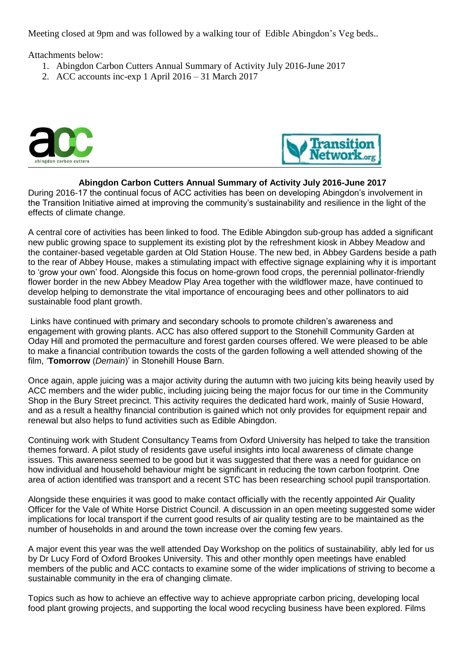Meeting closed at 9pm and was followed by a walking tour of Edible Abingdon's Veg beds..

Attachments below:

- 1. Abingdon Carbon Cutters Annual Summary of Activity July 2016-June 2017
- 2. ACC accounts inc-exp 1 April 2016 31 March 2017





#### **Abingdon Carbon Cutters Annual Summary of Activity July 2016-June 2017**

During 2016-17 the continual focus of ACC activities has been on developing Abingdon's involvement in the Transition Initiative aimed at improving the community's sustainability and resilience in the light of the effects of climate change.

A central core of activities has been linked to food. The Edible Abingdon sub-group has added a significant new public growing space to supplement its existing plot by the refreshment kiosk in Abbey Meadow and the container-based vegetable garden at Old Station House. The new bed, in Abbey Gardens beside a path to the rear of Abbey House, makes a stimulating impact with effective signage explaining why it is important to 'grow your own' food. Alongside this focus on home-grown food crops, the perennial pollinator-friendly flower border in the new Abbey Meadow Play Area together with the wildflower maze, have continued to develop helping to demonstrate the vital importance of encouraging bees and other pollinators to aid sustainable food plant growth.

Links have continued with primary and secondary schools to promote children's awareness and engagement with growing plants. ACC has also offered support to the Stonehill Community Garden at Oday Hill and promoted the permaculture and forest garden courses offered. We were pleased to be able to make a financial contribution towards the costs of the garden following a well attended showing of the film, '**Tomorrow** (*Demain*)' in Stonehill House Barn.

Once again, apple juicing was a major activity during the autumn with two juicing kits being heavily used by ACC members and the wider public, including juicing being the major focus for our time in the Community Shop in the Bury Street precinct. This activity requires the dedicated hard work, mainly of Susie Howard, and as a result a healthy financial contribution is gained which not only provides for equipment repair and renewal but also helps to fund activities such as Edible Abingdon.

Continuing work with Student Consultancy Teams from Oxford University has helped to take the transition themes forward. A pilot study of residents gave useful insights into local awareness of climate change issues. This awareness seemed to be good but it was suggested that there was a need for guidance on how individual and household behaviour might be significant in reducing the town carbon footprint. One area of action identified was transport and a recent STC has been researching school pupil transportation.

Alongside these enquiries it was good to make contact officially with the recently appointed Air Quality Officer for the Vale of White Horse District Council. A discussion in an open meeting suggested some wider implications for local transport if the current good results of air quality testing are to be maintained as the number of households in and around the town increase over the coming few years.

A major event this year was the well attended Day Workshop on the politics of sustainability, ably led for us by Dr Lucy Ford of Oxford Brookes University. This and other monthly open meetings have enabled members of the public and ACC contacts to examine some of the wider implications of striving to become a sustainable community in the era of changing climate.

Topics such as how to achieve an effective way to achieve appropriate carbon pricing, developing local food plant growing projects, and supporting the local wood recycling business have been explored. Films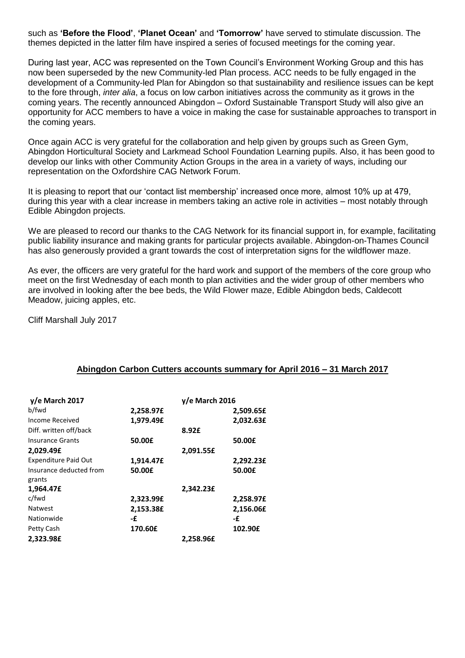such as **'Before the Flood'**, **'Planet Ocean'** and **'Tomorrow'** have served to stimulate discussion. The themes depicted in the latter film have inspired a series of focused meetings for the coming year.

During last year, ACC was represented on the Town Council's Environment Working Group and this has now been superseded by the new Community-led Plan process. ACC needs to be fully engaged in the development of a Community-led Plan for Abingdon so that sustainability and resilience issues can be kept to the fore through, *inter alia*, a focus on low carbon initiatives across the community as it grows in the coming years. The recently announced Abingdon – Oxford Sustainable Transport Study will also give an opportunity for ACC members to have a voice in making the case for sustainable approaches to transport in the coming years.

Once again ACC is very grateful for the collaboration and help given by groups such as Green Gym, Abingdon Horticultural Society and Larkmead School Foundation Learning pupils. Also, it has been good to develop our links with other Community Action Groups in the area in a variety of ways, including our representation on the Oxfordshire CAG Network Forum.

It is pleasing to report that our 'contact list membership' increased once more, almost 10% up at 479, during this year with a clear increase in members taking an active role in activities – most notably through Edible Abingdon projects.

We are pleased to record our thanks to the CAG Network for its financial support in, for example, facilitating public liability insurance and making grants for particular projects available. Abingdon-on-Thames Council has also generously provided a grant towards the cost of interpretation signs for the wildflower maze.

As ever, the officers are very grateful for the hard work and support of the members of the core group who meet on the first Wednesday of each month to plan activities and the wider group of other members who are involved in looking after the bee beds, the Wild Flower maze, Edible Abingdon beds, Caldecott Meadow, juicing apples, etc.

Cliff Marshall July 2017

#### **Abingdon Carbon Cutters accounts summary for April 2016 – 31 March 2017**

| $y/e$ March 2017            | $y/e$ March 2016 |           |           |
|-----------------------------|------------------|-----------|-----------|
| b/fwd                       | 2,258.97£        |           | 2,509.65£ |
| Income Received             | 1,979.49£        |           | 2,032.63£ |
| Diff. written off/back      |                  | 8.92£     |           |
| <b>Insurance Grants</b>     | 50.00£           |           | 50.00£    |
| 2,029.49£                   |                  | 2,091.55£ |           |
| <b>Expenditure Paid Out</b> | 1,914.47£        |           | 2,292.23£ |
| Insurance deducted from     | 50.00£           |           | 50.00£    |
| grants                      |                  |           |           |
| 1,964.47£                   |                  | 2,342.23£ |           |
| c/fwd                       | 2,323.99£        |           | 2,258.97£ |
| <b>Natwest</b>              | 2,153.38£        |           | 2,156.06£ |
| Nationwide                  | -£               |           | -£        |
| Petty Cash                  | 170.60£          |           | 102.90£   |
| 2,323.98£                   |                  | 2,258.96£ |           |